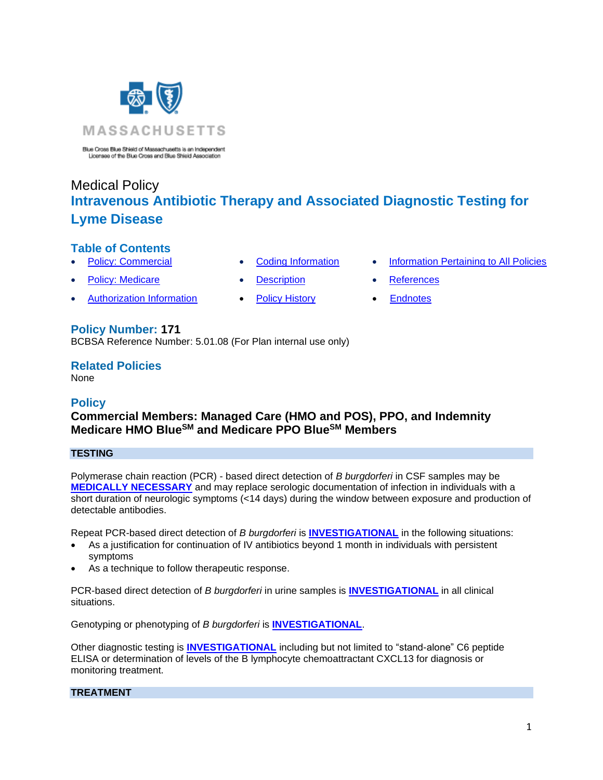

Blue Cross Blue Shield of Massachusetts is an Independent Licensee of the Blue Cross and Blue Shield Association

# Medical Policy **Intravenous Antibiotic Therapy and Associated Diagnostic Testing for Lyme Disease**

# **Table of Contents**

- 
- 
- **[Policy: Commercial](#page-0-0) [Coding Information](#page-2-0) [Information Pertaining to All Policies](#page-7-0)**
- 
- [Authorization Information](#page-1-0) [Policy History](#page-6-0) [Endnotes](#page-8-0)
- **[Policy: Medicare](#page-0-0) Conserversity Conserversity Conserversity Conserversity Conserversity Conserversity Conserversity Conserversity Conserversity Conserversity Conserversity Conserversity Conserversity Conserversity Conser** 
	-

# **Policy Number: 171**

BCBSA Reference Number: 5.01.08 (For Plan internal use only)

# **Related Policies**

<span id="page-0-0"></span>None

# **Policy**

# **Commercial Members: Managed Care (HMO and POS), PPO, and Indemnity Medicare HMO BlueSM and Medicare PPO BlueSM Members**

## **TESTING**

Polymerase chain reaction (PCR) - based direct detection of *B burgdorferi* in CSF samples may be **[MEDICALLY NECESSARY](https://www.bluecrossma.org/medical-policies/sites/g/files/csphws2091/files/acquiadam-assets/Definition%20of%20Med%20Nec%20Inv%20Not%20Med%20Nec%20prn.pdf#page=1)** and may replace serologic documentation of infection in individuals with a short duration of neurologic symptoms (<14 days) during the window between exposure and production of detectable antibodies.

Repeat PCR-based direct detection of *B burgdorferi* is **[INVESTIGATIONAL](https://www.bluecrossma.org/medical-policies/sites/g/files/csphws2091/files/acquiadam-assets/Definition%20of%20Med%20Nec%20Inv%20Not%20Med%20Nec%20prn.pdf#page=1)** in the following situations:

- As a justification for continuation of IV antibiotics beyond 1 month in individuals with persistent symptoms
- As a technique to follow therapeutic response.

PCR-based direct detection of *B burgdorferi* in urine samples is **[INVESTIGATIONAL](https://www.bluecrossma.org/medical-policies/sites/g/files/csphws2091/files/acquiadam-assets/Definition%20of%20Med%20Nec%20Inv%20Not%20Med%20Nec%20prn.pdf#page=1)** in all clinical situations.

Genotyping or phenotyping of *B burgdorferi* is **[INVESTIGATIONAL](https://www.bluecrossma.org/medical-policies/sites/g/files/csphws2091/files/acquiadam-assets/Definition%20of%20Med%20Nec%20Inv%20Not%20Med%20Nec%20prn.pdf#page=1)**.

Other diagnostic testing is **[INVESTIGATIONAL](https://www.bluecrossma.org/medical-policies/sites/g/files/csphws2091/files/acquiadam-assets/Definition%20of%20Med%20Nec%20Inv%20Not%20Med%20Nec%20prn.pdf#page=1)** including but not limited to "stand-alone" C6 peptide ELISA or determination of levels of the B lymphocyte chemoattractant CXCL13 for diagnosis or monitoring treatment.

## **TREATMENT**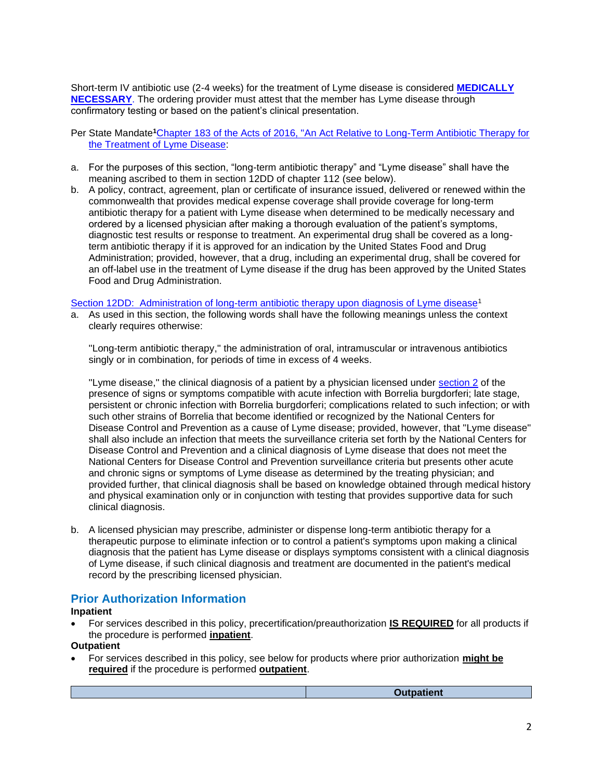Short-term IV antibiotic use (2-4 weeks) for the treatment of Lyme disease is considered **[MEDICALLY](https://www.bluecrossma.org/medical-policies/sites/g/files/csphws2091/files/acquiadam-assets/Definition%20of%20Med%20Nec%20Inv%20Not%20Med%20Nec%20prn.pdf#page=1)  [NECESSARY](https://www.bluecrossma.org/medical-policies/sites/g/files/csphws2091/files/acquiadam-assets/Definition%20of%20Med%20Nec%20Inv%20Not%20Med%20Nec%20prn.pdf#page=1)**. The ordering provider must attest that the member has Lyme disease through confirmatory testing or based on the patient's clinical presentation.

Per State Mandate**<sup>1</sup>**[Chapter 183 of the Acts of 2016, "An Act Relative to Long-Term Antibiotic Therapy for](https://malegislature.gov/Laws/SessionLaws/Acts/2016/Chapter183)  [the Treatment of Lyme Disease:](https://malegislature.gov/Laws/SessionLaws/Acts/2016/Chapter183)

- a. For the purposes of this section, "long-term antibiotic therapy" and "Lyme disease" shall have the meaning ascribed to them in section 12DD of chapter 112 (see below).
- b. A policy, contract, agreement, plan or certificate of insurance issued, delivered or renewed within the commonwealth that provides medical expense coverage shall provide coverage for long-term antibiotic therapy for a patient with Lyme disease when determined to be medically necessary and ordered by a licensed physician after making a thorough evaluation of the patient's symptoms, diagnostic test results or response to treatment. An experimental drug shall be covered as a longterm antibiotic therapy if it is approved for an indication by the United States Food and Drug Administration; provided, however, that a drug, including an experimental drug, shall be covered for an off-label use in the treatment of Lyme disease if the drug has been approved by the United States Food and Drug Administration.

#### [Section 12DD: Administration of long-term antibiotic therapy upon diagnosis of Lyme disease](https://malegislature.gov/Laws/GeneralLaws/PartI/TitleXVI/Chapter112/Section12DD)<sup>1</sup>

a. As used in this section, the following words shall have the following meanings unless the context clearly requires otherwise:

''Long-term antibiotic therapy,'' the administration of oral, intramuscular or intravenous antibiotics singly or in combination, for periods of time in excess of 4 weeks.

''Lyme disease,'' the clinical diagnosis of a patient by a physician licensed under [section 2](https://malegislature.gov/Laws/SessionLaws/Acts/2016/Chapter183) of the presence of signs or symptoms compatible with acute infection with Borrelia burgdorferi; late stage, persistent or chronic infection with Borrelia burgdorferi; complications related to such infection; or with such other strains of Borrelia that become identified or recognized by the National Centers for Disease Control and Prevention as a cause of Lyme disease; provided, however, that ''Lyme disease'' shall also include an infection that meets the surveillance criteria set forth by the National Centers for Disease Control and Prevention and a clinical diagnosis of Lyme disease that does not meet the National Centers for Disease Control and Prevention surveillance criteria but presents other acute and chronic signs or symptoms of Lyme disease as determined by the treating physician; and provided further, that clinical diagnosis shall be based on knowledge obtained through medical history and physical examination only or in conjunction with testing that provides supportive data for such clinical diagnosis.

b. A licensed physician may prescribe, administer or dispense long-term antibiotic therapy for a therapeutic purpose to eliminate infection or to control a patient's symptoms upon making a clinical diagnosis that the patient has Lyme disease or displays symptoms consistent with a clinical diagnosis of Lyme disease, if such clinical diagnosis and treatment are documented in the patient's medical record by the prescribing licensed physician.

## <span id="page-1-0"></span>**Prior Authorization Information**

#### **Inpatient**

• For services described in this policy, precertification/preauthorization **IS REQUIRED** for all products if the procedure is performed **inpatient**.

### **Outpatient**

• For services described in this policy, see below for products where prior authorization **might be required** if the procedure is performed **outpatient**.

**Outpatient**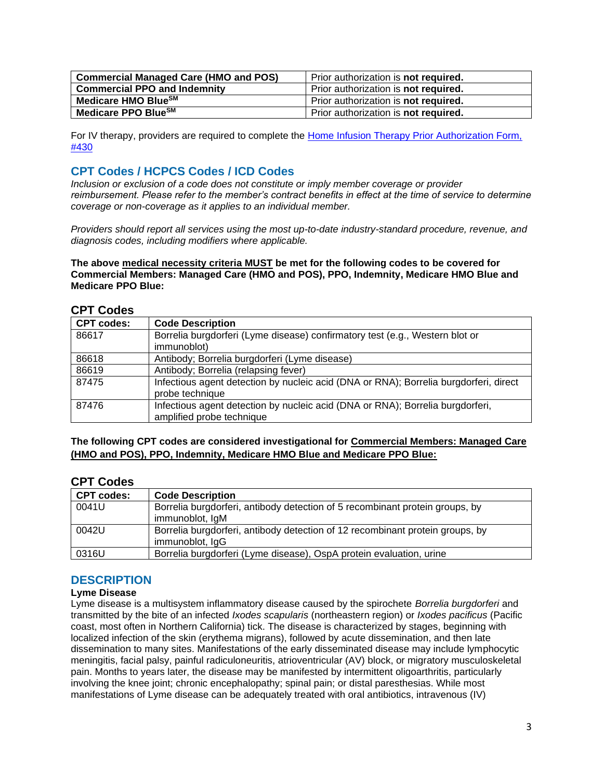| <b>Commercial Managed Care (HMO and POS)</b> | Prior authorization is not required.        |
|----------------------------------------------|---------------------------------------------|
| <b>Commercial PPO and Indemnity</b>          | Prior authorization is <b>not required.</b> |
| Medicare HMO BlueSM                          | Prior authorization is <b>not required.</b> |
| Medicare PPO BlueSM                          | Prior authorization is not required.        |

For IV therapy, providers are required to complete the [Home Infusion Therapy Prior Authorization Form,](http://www.bluecrossma.org/medical-policies/sites/g/files/csphws2091/files/acquiadam-assets/430%20Home%20Infusion%20Therapy%20Prior%20Authorization%20Form%20prn.pdf)  [#430](http://www.bluecrossma.org/medical-policies/sites/g/files/csphws2091/files/acquiadam-assets/430%20Home%20Infusion%20Therapy%20Prior%20Authorization%20Form%20prn.pdf)

# <span id="page-2-0"></span>**CPT Codes / HCPCS Codes / ICD Codes**

*Inclusion or exclusion of a code does not constitute or imply member coverage or provider reimbursement. Please refer to the member's contract benefits in effect at the time of service to determine coverage or non-coverage as it applies to an individual member.*

*Providers should report all services using the most up-to-date industry-standard procedure, revenue, and diagnosis codes, including modifiers where applicable.*

**The above medical necessity criteria MUST be met for the following codes to be covered for Commercial Members: Managed Care (HMO and POS), PPO, Indemnity, Medicare HMO Blue and Medicare PPO Blue:**

## **CPT Codes**

| <b>CPT codes:</b> | <b>Code Description</b>                                                                                     |
|-------------------|-------------------------------------------------------------------------------------------------------------|
| 86617             | Borrelia burgdorferi (Lyme disease) confirmatory test (e.g., Western blot or<br>immunoblot)                 |
| 86618             | Antibody; Borrelia burgdorferi (Lyme disease)                                                               |
| 86619             | Antibody; Borrelia (relapsing fever)                                                                        |
| 87475             | Infectious agent detection by nucleic acid (DNA or RNA); Borrelia burgdorferi, direct<br>probe technique    |
| 87476             | Infectious agent detection by nucleic acid (DNA or RNA); Borrelia burgdorferi,<br>amplified probe technique |

**The following CPT codes are considered investigational for Commercial Members: Managed Care (HMO and POS), PPO, Indemnity, Medicare HMO Blue and Medicare PPO Blue:**

## **CPT Codes**

| <b>CPT codes:</b> | <b>Code Description</b>                                                                          |
|-------------------|--------------------------------------------------------------------------------------------------|
| 0041U             | Borrelia burgdorferi, antibody detection of 5 recombinant protein groups, by<br>immunoblot, IgM  |
| 0042U             | Borrelia burgdorferi, antibody detection of 12 recombinant protein groups, by<br>immunoblot, IgG |
| 0316U             | Borrelia burgdorferi (Lyme disease), OspA protein evaluation, urine                              |

# <span id="page-2-1"></span>**DESCRIPTION**

## **Lyme Disease**

Lyme disease is a multisystem inflammatory disease caused by the spirochete *Borrelia burgdorferi* and transmitted by the bite of an infected *Ixodes scapularis* (northeastern region) or *Ixodes pacificus* (Pacific coast, most often in Northern California) tick. The disease is characterized by stages, beginning with localized infection of the skin (erythema migrans), followed by acute dissemination, and then late dissemination to many sites. Manifestations of the early disseminated disease may include lymphocytic meningitis, facial palsy, painful radiculoneuritis, atrioventricular (AV) block, or migratory musculoskeletal pain. Months to years later, the disease may be manifested by intermittent oligoarthritis, particularly involving the knee joint; chronic encephalopathy; spinal pain; or distal paresthesias. While most manifestations of Lyme disease can be adequately treated with oral antibiotics, intravenous (IV)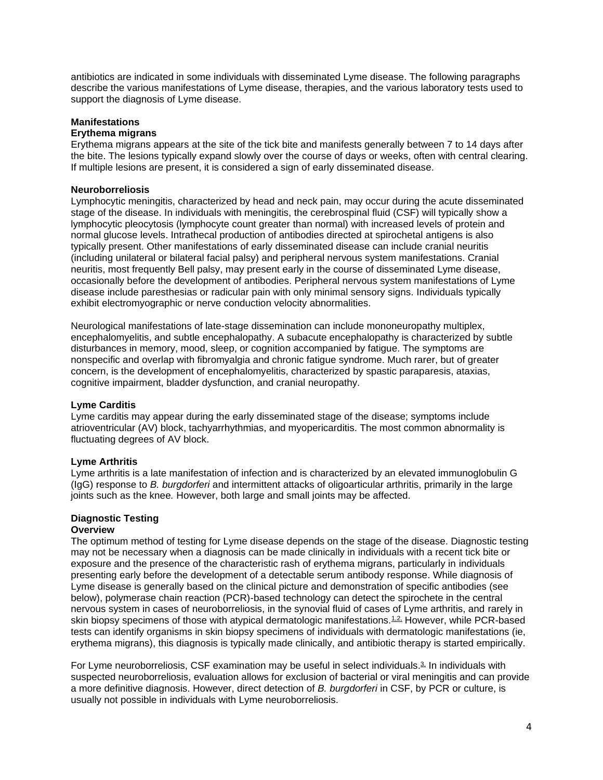antibiotics are indicated in some individuals with disseminated Lyme disease. The following paragraphs describe the various manifestations of Lyme disease, therapies, and the various laboratory tests used to support the diagnosis of Lyme disease.

## **Manifestations**

## **Erythema migrans**

Erythema migrans appears at the site of the tick bite and manifests generally between 7 to 14 days after the bite. The lesions typically expand slowly over the course of days or weeks, often with central clearing. If multiple lesions are present, it is considered a sign of early disseminated disease.

#### **Neuroborreliosis**

Lymphocytic meningitis, characterized by head and neck pain, may occur during the acute disseminated stage of the disease. In individuals with meningitis, the cerebrospinal fluid (CSF) will typically show a lymphocytic pleocytosis (lymphocyte count greater than normal) with increased levels of protein and normal glucose levels. Intrathecal production of antibodies directed at spirochetal antigens is also typically present. Other manifestations of early disseminated disease can include cranial neuritis (including unilateral or bilateral facial palsy) and peripheral nervous system manifestations. Cranial neuritis, most frequently Bell palsy, may present early in the course of disseminated Lyme disease, occasionally before the development of antibodies. Peripheral nervous system manifestations of Lyme disease include paresthesias or radicular pain with only minimal sensory signs. Individuals typically exhibit electromyographic or nerve conduction velocity abnormalities.

Neurological manifestations of late-stage dissemination can include mononeuropathy multiplex, encephalomyelitis, and subtle encephalopathy. A subacute encephalopathy is characterized by subtle disturbances in memory, mood, sleep, or cognition accompanied by fatigue. The symptoms are nonspecific and overlap with fibromyalgia and chronic fatigue syndrome. Much rarer, but of greater concern, is the development of encephalomyelitis, characterized by spastic paraparesis, ataxias, cognitive impairment, bladder dysfunction, and cranial neuropathy.

## **Lyme Carditis**

Lyme carditis may appear during the early disseminated stage of the disease; symptoms include atrioventricular (AV) block, tachyarrhythmias, and myopericarditis. The most common abnormality is fluctuating degrees of AV block.

## **Lyme Arthritis**

Lyme arthritis is a late manifestation of infection and is characterized by an elevated immunoglobulin G (IgG) response to *B. burgdorferi* and intermittent attacks of oligoarticular arthritis, primarily in the large joints such as the knee*.* However, both large and small joints may be affected.

#### **Diagnostic Testing Overview**

The optimum method of testing for Lyme disease depends on the stage of the disease. Diagnostic testing may not be necessary when a diagnosis can be made clinically in individuals with a recent tick bite or exposure and the presence of the characteristic rash of erythema migrans, particularly in individuals presenting early before the development of a detectable serum antibody response. While diagnosis of Lyme disease is generally based on the clinical picture and demonstration of specific antibodies (see below), polymerase chain reaction (PCR)-based technology can detect the spirochete in the central nervous system in cases of neuroborreliosis, in the synovial fluid of cases of Lyme arthritis, and rarely in skin biopsy specimens of those with atypical dermatologic manifestations.<sup>1,2</sup>, However, while PCR-based tests can identify organisms in skin biopsy specimens of individuals with dermatologic manifestations (ie, erythema migrans), this diagnosis is typically made clinically, and antibiotic therapy is started empirically.

For Lyme neuroborreliosis, CSF examination may be useful in select individuals.<sup>3</sup> In individuals with suspected neuroborreliosis, evaluation allows for exclusion of bacterial or viral meningitis and can provide a more definitive diagnosis. However, direct detection of *B. burgdorferi* in CSF, by PCR or culture, is usually not possible in individuals with Lyme neuroborreliosis.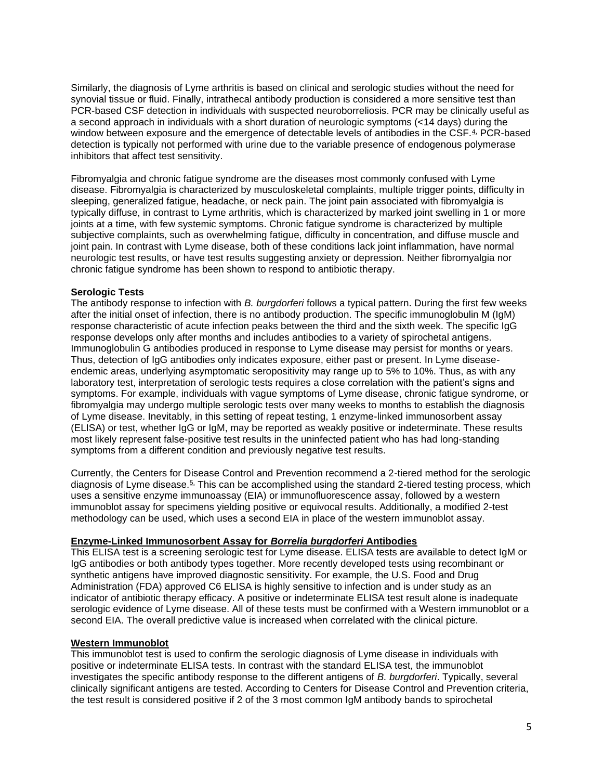Similarly, the diagnosis of Lyme arthritis is based on clinical and serologic studies without the need for synovial tissue or fluid. Finally, intrathecal antibody production is considered a more sensitive test than PCR-based CSF detection in individuals with suspected neuroborreliosis. PCR may be clinically useful as a second approach in individuals with a short duration of neurologic symptoms (<14 days) during the window between exposure and the emergence of detectable levels of antibodies in the CSF.<sup>4</sup> PCR-based detection is typically not performed with urine due to the variable presence of endogenous polymerase inhibitors that affect test sensitivity.

Fibromyalgia and chronic fatigue syndrome are the diseases most commonly confused with Lyme disease. Fibromyalgia is characterized by musculoskeletal complaints, multiple trigger points, difficulty in sleeping, generalized fatigue, headache, or neck pain. The joint pain associated with fibromyalgia is typically diffuse, in contrast to Lyme arthritis, which is characterized by marked joint swelling in 1 or more joints at a time, with few systemic symptoms. Chronic fatigue syndrome is characterized by multiple subjective complaints, such as overwhelming fatigue, difficulty in concentration, and diffuse muscle and joint pain. In contrast with Lyme disease, both of these conditions lack joint inflammation, have normal neurologic test results, or have test results suggesting anxiety or depression. Neither fibromyalgia nor chronic fatigue syndrome has been shown to respond to antibiotic therapy.

#### **Serologic Tests**

The antibody response to infection with *B. burgdorferi* follows a typical pattern. During the first few weeks after the initial onset of infection, there is no antibody production. The specific immunoglobulin M (IgM) response characteristic of acute infection peaks between the third and the sixth week. The specific IgG response develops only after months and includes antibodies to a variety of spirochetal antigens. Immunoglobulin G antibodies produced in response to Lyme disease may persist for months or years. Thus, detection of IgG antibodies only indicates exposure, either past or present. In Lyme diseaseendemic areas, underlying asymptomatic seropositivity may range up to 5% to 10%. Thus, as with any laboratory test, interpretation of serologic tests requires a close correlation with the patient's signs and symptoms. For example, individuals with vague symptoms of Lyme disease, chronic fatigue syndrome, or fibromyalgia may undergo multiple serologic tests over many weeks to months to establish the diagnosis of Lyme disease. Inevitably, in this setting of repeat testing, 1 enzyme-linked immunosorbent assay (ELISA) or test, whether IgG or IgM, may be reported as weakly positive or indeterminate. These results most likely represent false-positive test results in the uninfected patient who has had long-standing symptoms from a different condition and previously negative test results.

Currently, the Centers for Disease Control and Prevention recommend a 2-tiered method for the serologic diagnosis of Lyme disease.<sup>5</sup> This can be accomplished using the standard 2-tiered testing process, which uses a sensitive enzyme immunoassay (EIA) or immunofluorescence assay, followed by a western immunoblot assay for specimens yielding positive or equivocal results. Additionally, a modified 2-test methodology can be used, which uses a second EIA in place of the western immunoblot assay.

#### **Enzyme-Linked Immunosorbent Assay for** *Borrelia burgdorferi* **Antibodies**

This ELISA test is a screening serologic test for Lyme disease. ELISA tests are available to detect IgM or IgG antibodies or both antibody types together. More recently developed tests using recombinant or synthetic antigens have improved diagnostic sensitivity. For example, the U.S. Food and Drug Administration (FDA) approved C6 ELISA is highly sensitive to infection and is under study as an indicator of antibiotic therapy efficacy. A positive or indeterminate ELISA test result alone is inadequate serologic evidence of Lyme disease. All of these tests must be confirmed with a Western immunoblot or a second EIA. The overall predictive value is increased when correlated with the clinical picture.

#### **Western Immunoblot**

This immunoblot test is used to confirm the serologic diagnosis of Lyme disease in individuals with positive or indeterminate ELISA tests. In contrast with the standard ELISA test, the immunoblot investigates the specific antibody response to the different antigens of *B. burgdorferi*. Typically, several clinically significant antigens are tested. According to Centers for Disease Control and Prevention criteria, the test result is considered positive if 2 of the 3 most common IgM antibody bands to spirochetal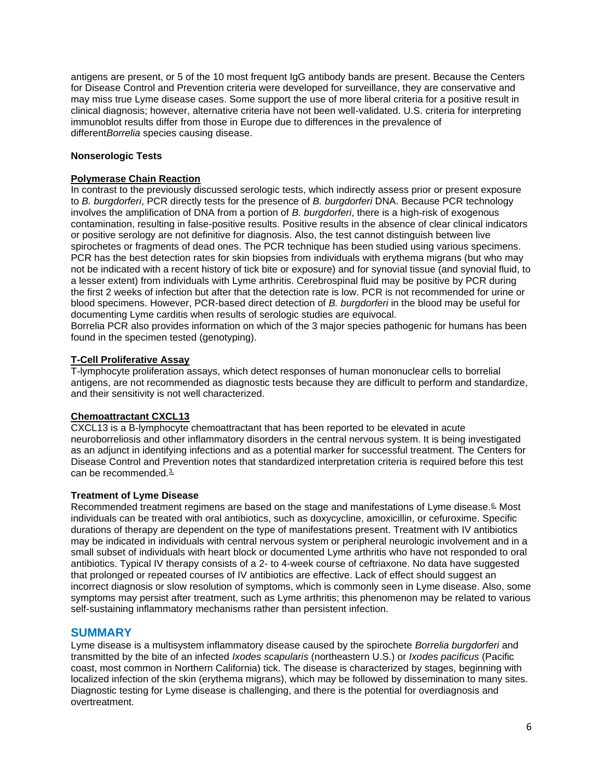antigens are present, or 5 of the 10 most frequent IgG antibody bands are present. Because the Centers for Disease Control and Prevention criteria were developed for surveillance, they are conservative and may miss true Lyme disease cases. Some support the use of more liberal criteria for a positive result in clinical diagnosis; however, alternative criteria have not been well-validated. U.S. criteria for interpreting immunoblot results differ from those in Europe due to differences in the prevalence of different*Borrelia* species causing disease.

#### **Nonserologic Tests**

#### **Polymerase Chain Reaction**

In contrast to the previously discussed serologic tests, which indirectly assess prior or present exposure to *B. burgdorferi*, PCR directly tests for the presence of *B. burgdorferi* DNA. Because PCR technology involves the amplification of DNA from a portion of *B. burgdorferi*, there is a high-risk of exogenous contamination, resulting in false-positive results. Positive results in the absence of clear clinical indicators or positive serology are not definitive for diagnosis. Also, the test cannot distinguish between live spirochetes or fragments of dead ones. The PCR technique has been studied using various specimens. PCR has the best detection rates for skin biopsies from individuals with erythema migrans (but who may not be indicated with a recent history of tick bite or exposure) and for synovial tissue (and synovial fluid, to a lesser extent) from individuals with Lyme arthritis. Cerebrospinal fluid may be positive by PCR during the first 2 weeks of infection but after that the detection rate is low. PCR is not recommended for urine or blood specimens. However, PCR-based direct detection of *B. burgdorferi* in the blood may be useful for documenting Lyme carditis when results of serologic studies are equivocal.

Borrelia PCR also provides information on which of the 3 major species pathogenic for humans has been found in the specimen tested (genotyping).

### **T-Cell Proliferative Assay**

T-lymphocyte proliferation assays, which detect responses of human mononuclear cells to borrelial antigens, are not recommended as diagnostic tests because they are difficult to perform and standardize, and their sensitivity is not well characterized.

## **Chemoattractant CXCL13**

CXCL13 is a B-lymphocyte chemoattractant that has been reported to be elevated in acute neuroborreliosis and other inflammatory disorders in the central nervous system. It is being investigated as an adjunct in identifying infections and as a potential marker for successful treatment. The Centers for Disease Control and Prevention notes that standardized interpretation criteria is required before this test can be recommended.<sup>3</sup>

#### **Treatment of Lyme Disease**

Recommended treatment regimens are based on the stage and manifestations of Lyme disease.<sup>6</sup> Most individuals can be treated with oral antibiotics, such as doxycycline, amoxicillin, or cefuroxime. Specific durations of therapy are dependent on the type of manifestations present. Treatment with IV antibiotics may be indicated in individuals with central nervous system or peripheral neurologic involvement and in a small subset of individuals with heart block or documented Lyme arthritis who have not responded to oral antibiotics. Typical IV therapy consists of a 2- to 4-week course of ceftriaxone. No data have suggested that prolonged or repeated courses of IV antibiotics are effective. Lack of effect should suggest an incorrect diagnosis or slow resolution of symptoms, which is commonly seen in Lyme disease. Also, some symptoms may persist after treatment, such as Lyme arthritis; this phenomenon may be related to various self-sustaining inflammatory mechanisms rather than persistent infection.

## **SUMMARY**

Lyme disease is a multisystem inflammatory disease caused by the spirochete *Borrelia burgdorferi* and transmitted by the bite of an infected *Ixodes scapularis* (northeastern U.S.) or *Ixodes pacificus* (Pacific coast, most common in Northern California) tick. The disease is characterized by stages, beginning with localized infection of the skin (erythema migrans), which may be followed by dissemination to many sites. Diagnostic testing for Lyme disease is challenging, and there is the potential for overdiagnosis and overtreatment.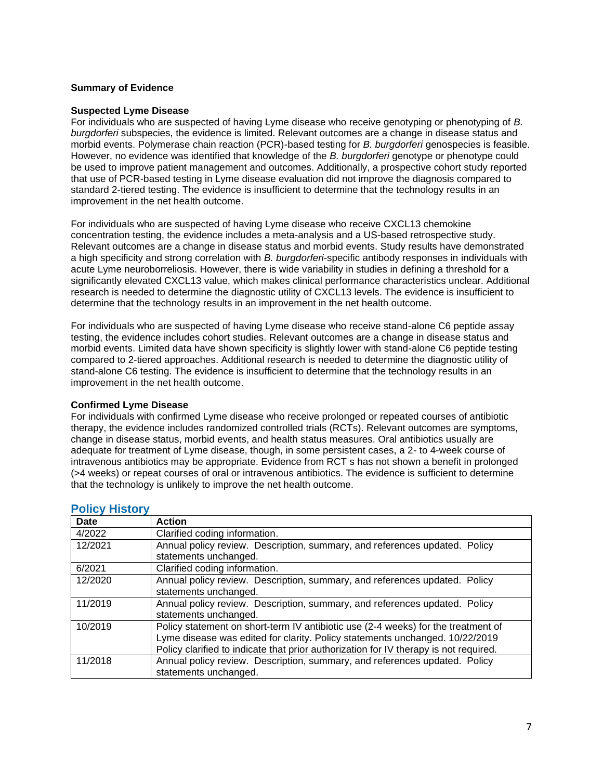#### **Summary of Evidence**

#### **Suspected Lyme Disease**

For individuals who are suspected of having Lyme disease who receive genotyping or phenotyping of *B. burgdorferi* subspecies, the evidence is limited. Relevant outcomes are a change in disease status and morbid events. Polymerase chain reaction (PCR)-based testing for *B. burgdorferi* genospecies is feasible. However, no evidence was identified that knowledge of the *B. burgdorferi* genotype or phenotype could be used to improve patient management and outcomes. Additionally, a prospective cohort study reported that use of PCR-based testing in Lyme disease evaluation did not improve the diagnosis compared to standard 2-tiered testing. The evidence is insufficient to determine that the technology results in an improvement in the net health outcome.

For individuals who are suspected of having Lyme disease who receive CXCL13 chemokine concentration testing, the evidence includes a meta-analysis and a US-based retrospective study. Relevant outcomes are a change in disease status and morbid events. Study results have demonstrated a high specificity and strong correlation with *B. burgdorferi*-specific antibody responses in individuals with acute Lyme neuroborreliosis. However, there is wide variability in studies in defining a threshold for a significantly elevated CXCL13 value, which makes clinical performance characteristics unclear. Additional research is needed to determine the diagnostic utility of CXCL13 levels. The evidence is insufficient to determine that the technology results in an improvement in the net health outcome.

For individuals who are suspected of having Lyme disease who receive stand-alone C6 peptide assay testing, the evidence includes cohort studies. Relevant outcomes are a change in disease status and morbid events. Limited data have shown specificity is slightly lower with stand-alone C6 peptide testing compared to 2-tiered approaches. Additional research is needed to determine the diagnostic utility of stand-alone C6 testing. The evidence is insufficient to determine that the technology results in an improvement in the net health outcome.

#### **Confirmed Lyme Disease**

For individuals with confirmed Lyme disease who receive prolonged or repeated courses of antibiotic therapy, the evidence includes randomized controlled trials (RCTs). Relevant outcomes are symptoms, change in disease status, morbid events, and health status measures. Oral antibiotics usually are adequate for treatment of Lyme disease, though, in some persistent cases, a 2- to 4-week course of intravenous antibiotics may be appropriate. Evidence from RCT s has not shown a benefit in prolonged (>4 weeks) or repeat courses of oral or intravenous antibiotics. The evidence is sufficient to determine that the technology is unlikely to improve the net health outcome.

| Date    | <b>Action</b>                                                                                                                                                                                                                                              |
|---------|------------------------------------------------------------------------------------------------------------------------------------------------------------------------------------------------------------------------------------------------------------|
| 4/2022  | Clarified coding information.                                                                                                                                                                                                                              |
| 12/2021 | Annual policy review. Description, summary, and references updated. Policy<br>statements unchanged.                                                                                                                                                        |
| 6/2021  | Clarified coding information.                                                                                                                                                                                                                              |
| 12/2020 | Annual policy review. Description, summary, and references updated. Policy<br>statements unchanged.                                                                                                                                                        |
| 11/2019 | Annual policy review. Description, summary, and references updated. Policy<br>statements unchanged.                                                                                                                                                        |
| 10/2019 | Policy statement on short-term IV antibiotic use (2-4 weeks) for the treatment of<br>Lyme disease was edited for clarity. Policy statements unchanged. 10/22/2019<br>Policy clarified to indicate that prior authorization for IV therapy is not required. |
| 11/2018 | Annual policy review. Description, summary, and references updated. Policy<br>statements unchanged.                                                                                                                                                        |

## <span id="page-6-0"></span>**Policy History**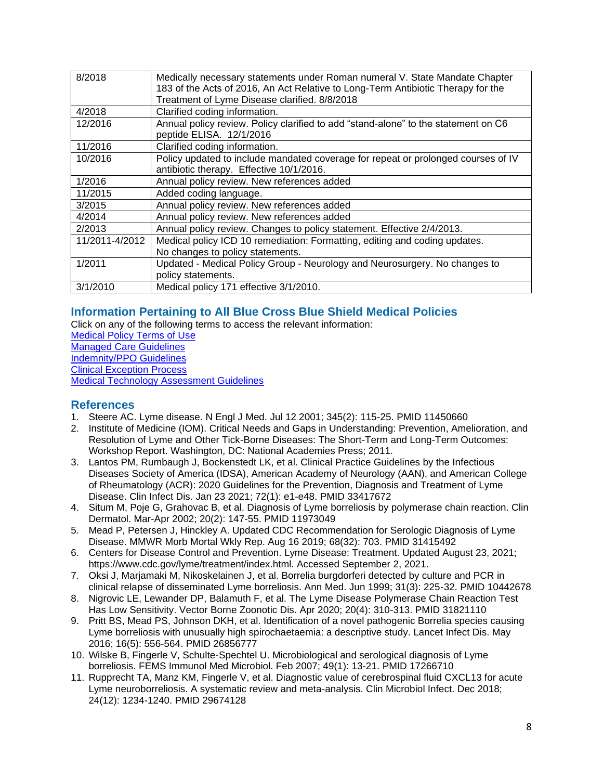| 8/2018         | Medically necessary statements under Roman numeral V. State Mandate Chapter        |
|----------------|------------------------------------------------------------------------------------|
|                | 183 of the Acts of 2016, An Act Relative to Long-Term Antibiotic Therapy for the   |
|                | Treatment of Lyme Disease clarified. 8/8/2018                                      |
| 4/2018         | Clarified coding information.                                                      |
| 12/2016        | Annual policy review. Policy clarified to add "stand-alone" to the statement on C6 |
|                | peptide ELISA. 12/1/2016                                                           |
| 11/2016        | Clarified coding information.                                                      |
| 10/2016        | Policy updated to include mandated coverage for repeat or prolonged courses of IV  |
|                | antibiotic therapy. Effective 10/1/2016.                                           |
| 1/2016         | Annual policy review. New references added                                         |
| 11/2015        | Added coding language.                                                             |
| 3/2015         | Annual policy review. New references added                                         |
| 4/2014         | Annual policy review. New references added                                         |
| 2/2013         | Annual policy review. Changes to policy statement. Effective 2/4/2013.             |
| 11/2011-4/2012 | Medical policy ICD 10 remediation: Formatting, editing and coding updates.         |
|                | No changes to policy statements.                                                   |
| 1/2011         | Updated - Medical Policy Group - Neurology and Neurosurgery. No changes to         |
|                | policy statements.                                                                 |
| 3/1/2010       | Medical policy 171 effective 3/1/2010.                                             |

# <span id="page-7-0"></span>**Information Pertaining to All Blue Cross Blue Shield Medical Policies**

Click on any of the following terms to access the relevant information:

[Medical Policy Terms of Use](http://www.bluecrossma.org/medical-policies/sites/g/files/csphws2091/files/acquiadam-assets/Medical_Policy_Terms_of_Use_prn.pdf) [Managed Care Guidelines](http://www.bluecrossma.org/medical-policies/sites/g/files/csphws2091/files/acquiadam-assets/Managed_Care_Guidelines_prn.pdf) [Indemnity/PPO Guidelines](http://www.bluecrossma.org/medical-policies/sites/g/files/csphws2091/files/acquiadam-assets/Indemnity_and_PPO_Guidelines_prn.pdf) [Clinical Exception Process](http://www.bluecrossma.org/medical-policies/sites/g/files/csphws2091/files/acquiadam-assets/Clinical_Exception_Process_prn.pdf) [Medical Technology Assessment Guidelines](http://www.bluecrossma.org/medical-policies/sites/g/files/csphws2091/files/acquiadam-assets/Medical_Technology_Assessment_Guidelines_prn.pdf)

## <span id="page-7-1"></span>**References**

- 1. Steere AC. Lyme disease. N Engl J Med. Jul 12 2001; 345(2): 115-25. PMID 11450660
- 2. Institute of Medicine (IOM). Critical Needs and Gaps in Understanding: Prevention, Amelioration, and Resolution of Lyme and Other Tick-Borne Diseases: The Short-Term and Long-Term Outcomes: Workshop Report. Washington, DC: National Academies Press; 2011.
- 3. Lantos PM, Rumbaugh J, Bockenstedt LK, et al. Clinical Practice Guidelines by the Infectious Diseases Society of America (IDSA), American Academy of Neurology (AAN), and American College of Rheumatology (ACR): 2020 Guidelines for the Prevention, Diagnosis and Treatment of Lyme Disease. Clin Infect Dis. Jan 23 2021; 72(1): e1-e48. PMID 33417672
- 4. Situm M, Poje G, Grahovac B, et al. Diagnosis of Lyme borreliosis by polymerase chain reaction. Clin Dermatol. Mar-Apr 2002; 20(2): 147-55. PMID 11973049
- 5. Mead P, Petersen J, Hinckley A. Updated CDC Recommendation for Serologic Diagnosis of Lyme Disease. MMWR Morb Mortal Wkly Rep. Aug 16 2019; 68(32): 703. PMID 31415492
- 6. Centers for Disease Control and Prevention. Lyme Disease: Treatment. Updated August 23, 2021; https://www.cdc.gov/lyme/treatment/index.html. Accessed September 2, 2021.
- 7. Oksi J, Marjamaki M, Nikoskelainen J, et al. Borrelia burgdorferi detected by culture and PCR in clinical relapse of disseminated Lyme borreliosis. Ann Med. Jun 1999; 31(3): 225-32. PMID 10442678
- 8. Nigrovic LE, Lewander DP, Balamuth F, et al. The Lyme Disease Polymerase Chain Reaction Test Has Low Sensitivity. Vector Borne Zoonotic Dis. Apr 2020; 20(4): 310-313. PMID 31821110
- 9. Pritt BS, Mead PS, Johnson DKH, et al. Identification of a novel pathogenic Borrelia species causing Lyme borreliosis with unusually high spirochaetaemia: a descriptive study. Lancet Infect Dis. May 2016; 16(5): 556-564. PMID 26856777
- 10. Wilske B, Fingerle V, Schulte-Spechtel U. Microbiological and serological diagnosis of Lyme borreliosis. FEMS Immunol Med Microbiol. Feb 2007; 49(1): 13-21. PMID 17266710
- 11. Rupprecht TA, Manz KM, Fingerle V, et al. Diagnostic value of cerebrospinal fluid CXCL13 for acute Lyme neuroborreliosis. A systematic review and meta-analysis. Clin Microbiol Infect. Dec 2018; 24(12): 1234-1240. PMID 29674128